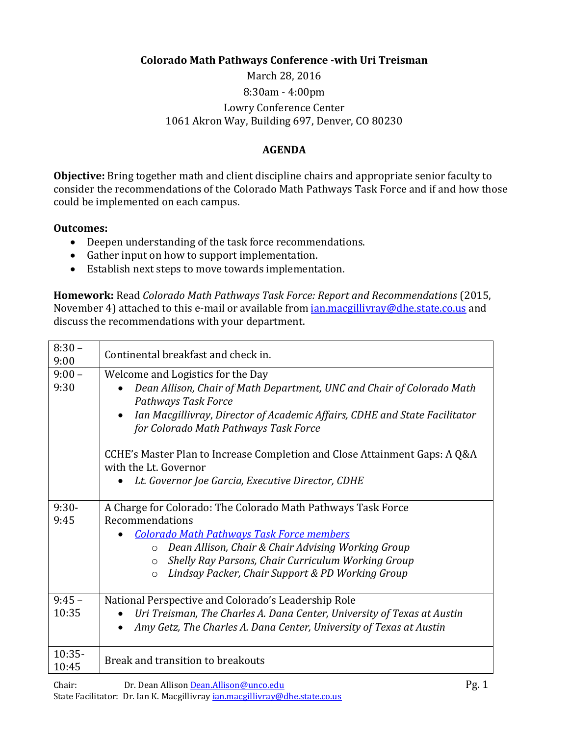## **Colorado Math Pathways Conference -with Uri Treisman**

March 28, 2016 8:30am - 4:00pm Lowry Conference Center 1061 Akron Way, Building 697, Denver, CO 80230

## **AGENDA**

**Objective:** Bring together math and client discipline chairs and appropriate senior faculty to consider the recommendations of the Colorado Math Pathways Task Force and if and how those could be implemented on each campus.

## **Outcomes:**

- Deepen understanding of the task force recommendations.
- Gather input on how to support implementation.
- Establish next steps to move towards implementation.

**Homework:** Read *Colorado Math Pathways Task Force: Report and Recommendations* (2015, November 4) attached to this e-mail or available from *ian.macgillivray@dhe.state.co.us* and discuss the recommendations with your department.

| $8:30 -$<br>9:00  | Continental breakfast and check in.                                                                                                                                                                                                                                                                                                  |
|-------------------|--------------------------------------------------------------------------------------------------------------------------------------------------------------------------------------------------------------------------------------------------------------------------------------------------------------------------------------|
| $9:00 -$<br>9:30  | Welcome and Logistics for the Day<br>Dean Allison, Chair of Math Department, UNC and Chair of Colorado Math<br>Pathways Task Force<br>Ian Macgillivray, Director of Academic Affairs, CDHE and State Facilitator<br>$\bullet$<br>for Colorado Math Pathways Task Force                                                               |
|                   | CCHE's Master Plan to Increase Completion and Close Attainment Gaps: A Q&A<br>with the Lt. Governor                                                                                                                                                                                                                                  |
|                   | Lt. Governor Joe Garcia, Executive Director, CDHE                                                                                                                                                                                                                                                                                    |
| $9:30-$<br>9:45   | A Charge for Colorado: The Colorado Math Pathways Task Force<br>Recommendations<br><b>Colorado Math Pathways Task Force members</b><br>Dean Allison, Chair & Chair Advising Working Group<br>$\circ$<br>Shelly Ray Parsons, Chair Curriculum Working Group<br>$\circ$<br>Lindsay Packer, Chair Support & PD Working Group<br>$\circ$ |
| $9:45 -$<br>10:35 | National Perspective and Colorado's Leadership Role<br>Uri Treisman, The Charles A. Dana Center, University of Texas at Austin<br>Amy Getz, The Charles A. Dana Center, University of Texas at Austin                                                                                                                                |
| $10:35-$<br>10:45 | Break and transition to breakouts                                                                                                                                                                                                                                                                                                    |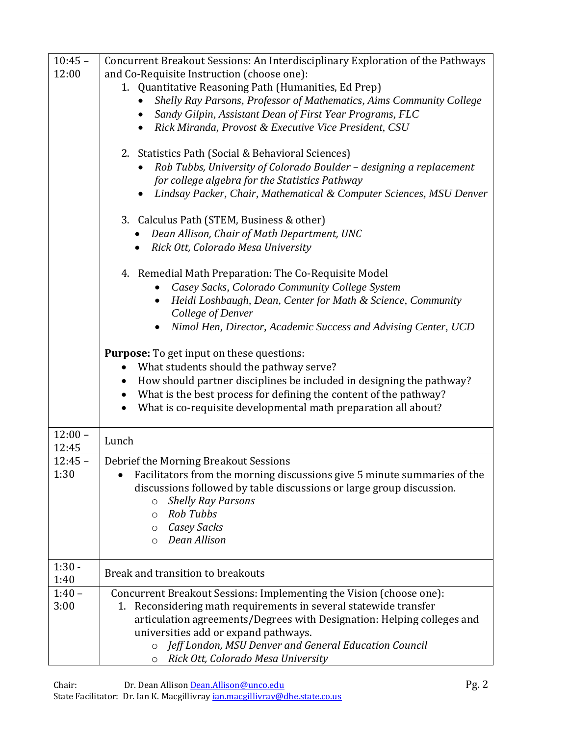| $10:45 -$ | Concurrent Breakout Sessions: An Interdisciplinary Exploration of the Pathways   |
|-----------|----------------------------------------------------------------------------------|
| 12:00     | and Co-Requisite Instruction (choose one):                                       |
|           | 1. Quantitative Reasoning Path (Humanities, Ed Prep)                             |
|           | Shelly Ray Parsons, Professor of Mathematics, Aims Community College             |
|           | Sandy Gilpin, Assistant Dean of First Year Programs, FLC<br>$\bullet$            |
|           | Rick Miranda, Provost & Executive Vice President, CSU                            |
|           |                                                                                  |
|           | 2. Statistics Path (Social & Behavioral Sciences)                                |
|           | Rob Tubbs, University of Colorado Boulder - designing a replacement<br>$\bullet$ |
|           | for college algebra for the Statistics Pathway                                   |
|           | Lindsay Packer, Chair, Mathematical & Computer Sciences, MSU Denver              |
|           |                                                                                  |
|           | 3. Calculus Path (STEM, Business & other)                                        |
|           | Dean Allison, Chair of Math Department, UNC                                      |
|           | Rick Ott, Colorado Mesa University                                               |
|           |                                                                                  |
|           | 4. Remedial Math Preparation: The Co-Requisite Model                             |
|           | Casey Sacks, Colorado Community College System                                   |
|           | Heidi Loshbaugh, Dean, Center for Math & Science, Community<br>$\bullet$         |
|           | College of Denver                                                                |
|           | Nimol Hen, Director, Academic Success and Advising Center, UCD                   |
|           |                                                                                  |
|           | <b>Purpose:</b> To get input on these questions:                                 |
|           | What students should the pathway serve?                                          |
|           | How should partner disciplines be included in designing the pathway?             |
|           | What is the best process for defining the content of the pathway?<br>$\bullet$   |
|           | What is co-requisite developmental math preparation all about?                   |
| $12:00 -$ |                                                                                  |
| 12:45     | Lunch                                                                            |
| $12:45 -$ | Debrief the Morning Breakout Sessions                                            |
| 1:30      | Facilitators from the morning discussions give 5 minute summaries of the         |
|           | discussions followed by table discussions or large group discussion.             |
|           | <b>Shelly Ray Parsons</b><br>$\circ$                                             |
|           | Rob Tubbs<br>$\circ$                                                             |
|           | <b>Casey Sacks</b><br>$\circ$                                                    |
|           | Dean Allison<br>$\circ$                                                          |
|           |                                                                                  |
| $1:30 -$  |                                                                                  |
| 1:40      | Break and transition to breakouts                                                |
| $1:40 -$  | Concurrent Breakout Sessions: Implementing the Vision (choose one):              |
| 3:00      | 1. Reconsidering math requirements in several statewide transfer                 |
|           | articulation agreements/Degrees with Designation: Helping colleges and           |
|           | universities add or expand pathways.                                             |
|           | Jeff London, MSU Denver and General Education Council<br>$\circ$                 |
|           | Rick Ott, Colorado Mesa University<br>$\circ$                                    |